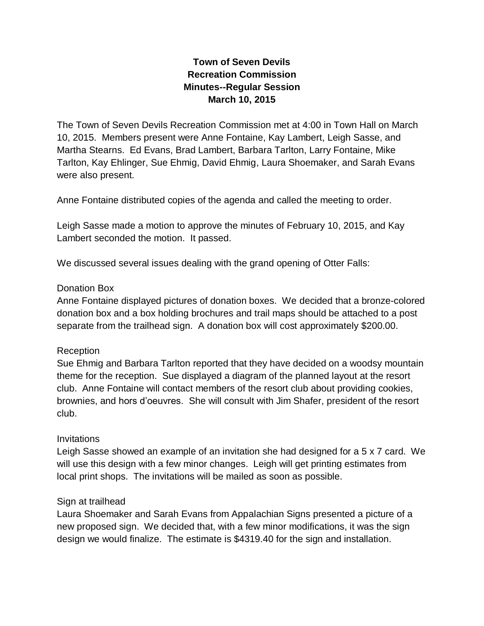# **Town of Seven Devils Recreation Commission Minutes--Regular Session March 10, 2015**

The Town of Seven Devils Recreation Commission met at 4:00 in Town Hall on March 10, 2015. Members present were Anne Fontaine, Kay Lambert, Leigh Sasse, and Martha Stearns. Ed Evans, Brad Lambert, Barbara Tarlton, Larry Fontaine, Mike Tarlton, Kay Ehlinger, Sue Ehmig, David Ehmig, Laura Shoemaker, and Sarah Evans were also present.

Anne Fontaine distributed copies of the agenda and called the meeting to order.

Leigh Sasse made a motion to approve the minutes of February 10, 2015, and Kay Lambert seconded the motion. It passed.

We discussed several issues dealing with the grand opening of Otter Falls:

### Donation Box

Anne Fontaine displayed pictures of donation boxes. We decided that a bronze-colored donation box and a box holding brochures and trail maps should be attached to a post separate from the trailhead sign. A donation box will cost approximately \$200.00.

#### Reception

Sue Ehmig and Barbara Tarlton reported that they have decided on a woodsy mountain theme for the reception. Sue displayed a diagram of the planned layout at the resort club. Anne Fontaine will contact members of the resort club about providing cookies, brownies, and hors d'oeuvres. She will consult with Jim Shafer, president of the resort club.

#### Invitations

Leigh Sasse showed an example of an invitation she had designed for a 5 x 7 card. We will use this design with a few minor changes. Leigh will get printing estimates from local print shops. The invitations will be mailed as soon as possible.

#### Sign at trailhead

Laura Shoemaker and Sarah Evans from Appalachian Signs presented a picture of a new proposed sign. We decided that, with a few minor modifications, it was the sign design we would finalize. The estimate is \$4319.40 for the sign and installation.